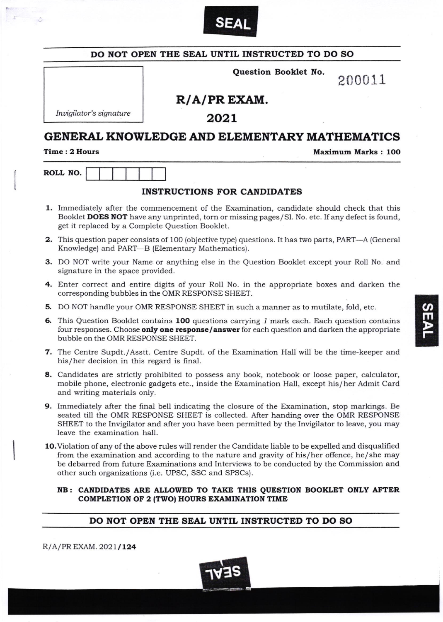

| Question Booklet No.<br>200011<br>$R/A/PR$ EXAM.<br>Invigilator's signature<br>2021<br>Maximum Marks: 100<br><b>INSTRUCTIONS FOR CANDIDATES</b><br>1. Immediately after the commencement of the Examination, candidate should check that this<br>Booklet DOES NOT have any unprinted, torn or missing pages/Sl. No. etc. If any defect is found,<br>get it replaced by a Complete Question Booklet.<br><b>2.</b> This question paper consists of 100 (objective type) questions. It has two parts, PART—A (General<br>Knowledge) and PART-B (Elementary Mathematics).<br><b>3.</b> DO NOT write your Name or anything else in the Question Booklet except your Roll No. and<br>signature in the space provided.<br>4. Enter correct and entire digits of your Roll No. in the appropriate boxes and darken the<br>corresponding bubbles in the OMR RESPONSE SHEET.<br><b>5.</b> DO NOT handle your OMR RESPONSE SHEET in such a manner as to mutilate, fold, etc.<br>6. This Question Booklet contains 100 questions carrying 1 mark each. Each question contains<br>four responses. Choose only one response/answer for each question and darken the appropriate<br>bubble on the OMR RESPONSE SHEET.<br>7. The Centre Supdt./Asstt. Centre Supdt. of the Examination Hall will be the time-keeper and<br>his/her decision in this regard is final.<br>8. Candidates are strictly prohibited to possess any book, notebook or loose paper, calculator,<br>mobile phone, electronic gadgets etc., inside the Examination Hall, except his/her Admit Card<br>and writing materials only.<br>9. Immediately after the final bell indicating the closure of the Examination, stop markings. Be<br>seated till the OMR RESPONSE SHEET is collected. After handing over the OMR RESPONSE<br>SHEET to the Invigilator and after you have been permitted by the Invigilator to leave, you may<br>leave the examination hall.<br>10. Violation of any of the above rules will render the Candidate liable to be expelled and disqualified<br>from the examination and according to the nature and gravity of his/her offence, he/she may | DO NOT OPEN THE SEAL UNTIL INSTRUCTED TO DO SO      |  |  |  |  |
|----------------------------------------------------------------------------------------------------------------------------------------------------------------------------------------------------------------------------------------------------------------------------------------------------------------------------------------------------------------------------------------------------------------------------------------------------------------------------------------------------------------------------------------------------------------------------------------------------------------------------------------------------------------------------------------------------------------------------------------------------------------------------------------------------------------------------------------------------------------------------------------------------------------------------------------------------------------------------------------------------------------------------------------------------------------------------------------------------------------------------------------------------------------------------------------------------------------------------------------------------------------------------------------------------------------------------------------------------------------------------------------------------------------------------------------------------------------------------------------------------------------------------------------------------------------------------------------------------------------------------------------------------------------------------------------------------------------------------------------------------------------------------------------------------------------------------------------------------------------------------------------------------------------------------------------------------------------------------------------------------------------------------------------------------------------------------------------------------------------------------------|-----------------------------------------------------|--|--|--|--|
|                                                                                                                                                                                                                                                                                                                                                                                                                                                                                                                                                                                                                                                                                                                                                                                                                                                                                                                                                                                                                                                                                                                                                                                                                                                                                                                                                                                                                                                                                                                                                                                                                                                                                                                                                                                                                                                                                                                                                                                                                                                                                                                                  |                                                     |  |  |  |  |
|                                                                                                                                                                                                                                                                                                                                                                                                                                                                                                                                                                                                                                                                                                                                                                                                                                                                                                                                                                                                                                                                                                                                                                                                                                                                                                                                                                                                                                                                                                                                                                                                                                                                                                                                                                                                                                                                                                                                                                                                                                                                                                                                  |                                                     |  |  |  |  |
|                                                                                                                                                                                                                                                                                                                                                                                                                                                                                                                                                                                                                                                                                                                                                                                                                                                                                                                                                                                                                                                                                                                                                                                                                                                                                                                                                                                                                                                                                                                                                                                                                                                                                                                                                                                                                                                                                                                                                                                                                                                                                                                                  |                                                     |  |  |  |  |
|                                                                                                                                                                                                                                                                                                                                                                                                                                                                                                                                                                                                                                                                                                                                                                                                                                                                                                                                                                                                                                                                                                                                                                                                                                                                                                                                                                                                                                                                                                                                                                                                                                                                                                                                                                                                                                                                                                                                                                                                                                                                                                                                  | <b>GENERAL KNOWLEDGE AND ELEMENTARY MATHEMATICS</b> |  |  |  |  |
|                                                                                                                                                                                                                                                                                                                                                                                                                                                                                                                                                                                                                                                                                                                                                                                                                                                                                                                                                                                                                                                                                                                                                                                                                                                                                                                                                                                                                                                                                                                                                                                                                                                                                                                                                                                                                                                                                                                                                                                                                                                                                                                                  | Time: 2 Hours                                       |  |  |  |  |
|                                                                                                                                                                                                                                                                                                                                                                                                                                                                                                                                                                                                                                                                                                                                                                                                                                                                                                                                                                                                                                                                                                                                                                                                                                                                                                                                                                                                                                                                                                                                                                                                                                                                                                                                                                                                                                                                                                                                                                                                                                                                                                                                  | ROLL NO.                                            |  |  |  |  |
|                                                                                                                                                                                                                                                                                                                                                                                                                                                                                                                                                                                                                                                                                                                                                                                                                                                                                                                                                                                                                                                                                                                                                                                                                                                                                                                                                                                                                                                                                                                                                                                                                                                                                                                                                                                                                                                                                                                                                                                                                                                                                                                                  |                                                     |  |  |  |  |
|                                                                                                                                                                                                                                                                                                                                                                                                                                                                                                                                                                                                                                                                                                                                                                                                                                                                                                                                                                                                                                                                                                                                                                                                                                                                                                                                                                                                                                                                                                                                                                                                                                                                                                                                                                                                                                                                                                                                                                                                                                                                                                                                  |                                                     |  |  |  |  |
|                                                                                                                                                                                                                                                                                                                                                                                                                                                                                                                                                                                                                                                                                                                                                                                                                                                                                                                                                                                                                                                                                                                                                                                                                                                                                                                                                                                                                                                                                                                                                                                                                                                                                                                                                                                                                                                                                                                                                                                                                                                                                                                                  |                                                     |  |  |  |  |
|                                                                                                                                                                                                                                                                                                                                                                                                                                                                                                                                                                                                                                                                                                                                                                                                                                                                                                                                                                                                                                                                                                                                                                                                                                                                                                                                                                                                                                                                                                                                                                                                                                                                                                                                                                                                                                                                                                                                                                                                                                                                                                                                  |                                                     |  |  |  |  |
|                                                                                                                                                                                                                                                                                                                                                                                                                                                                                                                                                                                                                                                                                                                                                                                                                                                                                                                                                                                                                                                                                                                                                                                                                                                                                                                                                                                                                                                                                                                                                                                                                                                                                                                                                                                                                                                                                                                                                                                                                                                                                                                                  |                                                     |  |  |  |  |
|                                                                                                                                                                                                                                                                                                                                                                                                                                                                                                                                                                                                                                                                                                                                                                                                                                                                                                                                                                                                                                                                                                                                                                                                                                                                                                                                                                                                                                                                                                                                                                                                                                                                                                                                                                                                                                                                                                                                                                                                                                                                                                                                  |                                                     |  |  |  |  |
|                                                                                                                                                                                                                                                                                                                                                                                                                                                                                                                                                                                                                                                                                                                                                                                                                                                                                                                                                                                                                                                                                                                                                                                                                                                                                                                                                                                                                                                                                                                                                                                                                                                                                                                                                                                                                                                                                                                                                                                                                                                                                                                                  |                                                     |  |  |  |  |
|                                                                                                                                                                                                                                                                                                                                                                                                                                                                                                                                                                                                                                                                                                                                                                                                                                                                                                                                                                                                                                                                                                                                                                                                                                                                                                                                                                                                                                                                                                                                                                                                                                                                                                                                                                                                                                                                                                                                                                                                                                                                                                                                  |                                                     |  |  |  |  |
|                                                                                                                                                                                                                                                                                                                                                                                                                                                                                                                                                                                                                                                                                                                                                                                                                                                                                                                                                                                                                                                                                                                                                                                                                                                                                                                                                                                                                                                                                                                                                                                                                                                                                                                                                                                                                                                                                                                                                                                                                                                                                                                                  |                                                     |  |  |  |  |
|                                                                                                                                                                                                                                                                                                                                                                                                                                                                                                                                                                                                                                                                                                                                                                                                                                                                                                                                                                                                                                                                                                                                                                                                                                                                                                                                                                                                                                                                                                                                                                                                                                                                                                                                                                                                                                                                                                                                                                                                                                                                                                                                  |                                                     |  |  |  |  |
| be debarred from future Examinations and Interviews to be conducted by the Commission and<br>other such organizations (i.e. UPSC, SSC and SPSCs).                                                                                                                                                                                                                                                                                                                                                                                                                                                                                                                                                                                                                                                                                                                                                                                                                                                                                                                                                                                                                                                                                                                                                                                                                                                                                                                                                                                                                                                                                                                                                                                                                                                                                                                                                                                                                                                                                                                                                                                |                                                     |  |  |  |  |
| NB: CANDIDATES ARE ALLOWED TO TAKE THIS QUESTION BOOKLET ONLY AFTER<br><b>COMPLETION OF 2 (TWO) HOURS EXAMINATION TIME</b>                                                                                                                                                                                                                                                                                                                                                                                                                                                                                                                                                                                                                                                                                                                                                                                                                                                                                                                                                                                                                                                                                                                                                                                                                                                                                                                                                                                                                                                                                                                                                                                                                                                                                                                                                                                                                                                                                                                                                                                                       |                                                     |  |  |  |  |
| DO NOT OPEN THE SEAL UNTIL INSTRUCTED TO DO SO                                                                                                                                                                                                                                                                                                                                                                                                                                                                                                                                                                                                                                                                                                                                                                                                                                                                                                                                                                                                                                                                                                                                                                                                                                                                                                                                                                                                                                                                                                                                                                                                                                                                                                                                                                                                                                                                                                                                                                                                                                                                                   |                                                     |  |  |  |  |

 $\overline{a}$ m

**F** 

 $R/A/PR$  EXAM. 2021/124

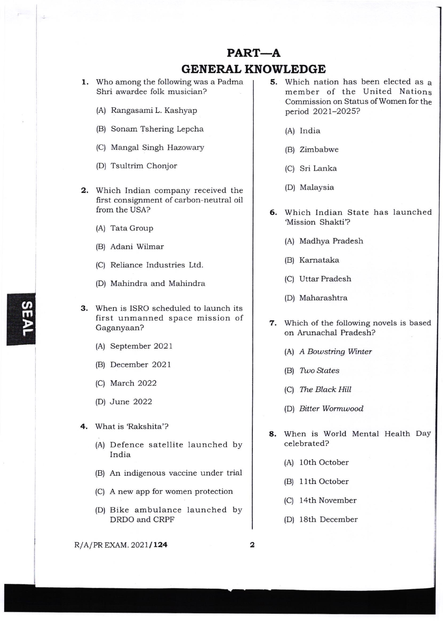## PART-A

## GENERAL KNOWLEDGE

1. Who among the following was a Padma Shri awardee folk musician?

- (A) Rangasami L. Kashyap
- (B) Sonam Tshering Lepcha
- (C) Mangal Singh Hazowary
- (D) Tsultrim Chonjor
- 2. Which Indian company received the first consignment of carbon-neutral oil from the USA?
	- (A) Tata Group
	- [B) Adani Wilmar
	- (C) Reliance Industries Ltd.
	- (D) Mahindra and Mahindra
- 3. When is ISRO scheduled to launch its first unmanned space mission of Gaganyaan?
	- (A) September 2021
	- (B) December 202 <sup>1</sup>
	- (C) March 2022
	- (D) June 2022
- 4. What is 'Rakshita'?
	- (A) Defence satellite launched by India
	- (B) An indigenous vaccine under trial
	- (C) A new app for women protection
	- (D) Bike ambulance launched by DRDO and CRPF

 $R/A/PR$  EXAM. 2021/124 2

- 5. Which nation has been elected as a member of the United Nations Commission on Status of Women for the period 2021-2025?
	- (A) India
	- (B) Zimbabwe
	- (C) Sri Lanka
	- (D) Malaysia
- 6. Which Indian State has launched 'Mission Shakti'?
	- (A) Madhya Pradesh
	- (B) Karnataka
	- (C) Uttar Pradesh
	- (D) Maharashtra
- 7. Which of the following novels is based on Arunachal Pradesh?
	- (A) A Bowstring Winter
	- (B) Two States
	- (C) The Black Hill
	- (D) Bitter Wormwood
- 8. When is World Mental Health DaY celebrated?
	- (A) 10th October
	- (B) I lth October
	- (C) 14th November
	- (D) 18th December

@  $\mathbf{\bar{m}}$ r